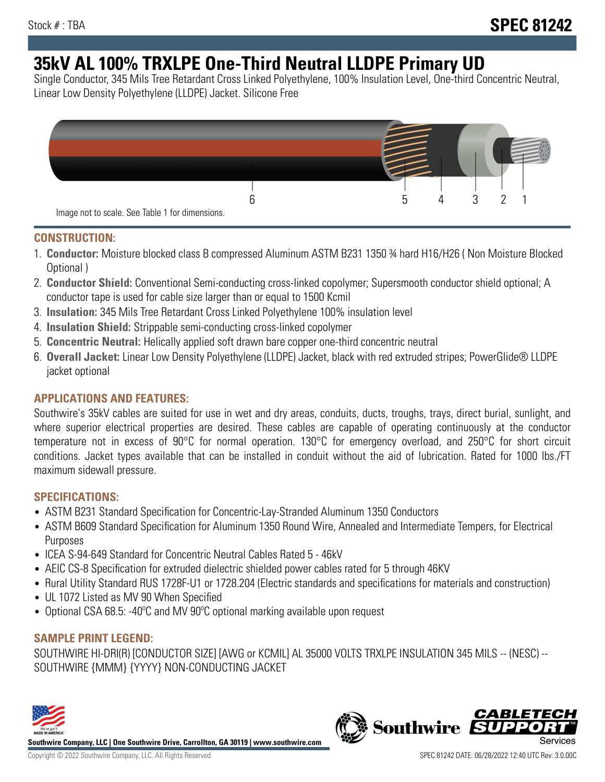# **35kV AL 100% TRXLPE One-Third Neutral LLDPE Primary UD**

Single Conductor, 345 Mils Tree Retardant Cross Linked Polyethylene, 100% Insulation Level, One-third Concentric Neutral, Linear Low Density Polyethylene (LLDPE) Jacket. Silicone Free



### **CONSTRUCTION:**

- 1. **Conductor:** Moisture blocked class B compressed Aluminum ASTM B231 1350 ¾ hard H16/H26 ( Non Moisture Blocked Optional )
- 2. **Conductor Shield:** Conventional Semi-conducting cross-linked copolymer; Supersmooth conductor shield optional; A conductor tape is used for cable size larger than or equal to 1500 Kcmil
- 3. **Insulation:** 345 Mils Tree Retardant Cross Linked Polyethylene 100% insulation level
- 4. **Insulation Shield:** Strippable semi-conducting cross-linked copolymer
- 5. **Concentric Neutral:** Helically applied soft drawn bare copper one-third concentric neutral
- 6. **Overall Jacket:** Linear Low Density Polyethylene (LLDPE) Jacket, black with red extruded stripes; PowerGlide® LLDPE jacket optional

## **APPLICATIONS AND FEATURES:**

Southwire's 35kV cables are suited for use in wet and dry areas, conduits, ducts, troughs, trays, direct burial, sunlight, and where superior electrical properties are desired. These cables are capable of operating continuously at the conductor temperature not in excess of 90°C for normal operation. 130°C for emergency overload, and 250°C for short circuit conditions. Jacket types available that can be installed in conduit without the aid of lubrication. Rated for 1000 lbs./FT maximum sidewall pressure.

### **SPECIFICATIONS:**

- ASTM B231 Standard Specification for Concentric-Lay-Stranded Aluminum 1350 Conductors
- ASTM B609 Standard Specification for Aluminum 1350 Round Wire, Annealed and Intermediate Tempers, for Electrical Purposes
- ICEA S-94-649 Standard for Concentric Neutral Cables Rated 5 46kV
- AEIC CS-8 Specification for extruded dielectric shielded power cables rated for 5 through 46KV
- Rural Utility Standard RUS 1728F-U1 or 1728.204 (Electric standards and specifications for materials and construction)
- UL 1072 Listed as MV 90 When Specified
- Optional CSA 68.5: -40ºC and MV 90ºC optional marking available upon request

### **SAMPLE PRINT LEGEND:**

SOUTHWIRE HI-DRI(R) [CONDUCTOR SIZE] [AWG or KCMIL] AL 35000 VOLTS TRXLPE INSULATION 345 MILS -- (NESC) -- SOUTHWIRE {MMM} {YYYY} NON-CONDUCTING JACKET



**Southwire Company, LLC | One Southwire Drive, Carrollton, GA 30119 | www.southwire.com**

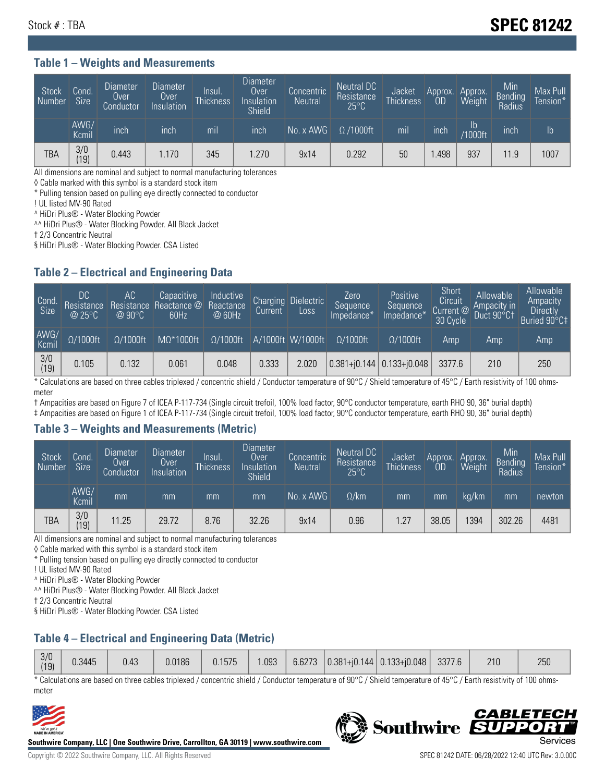# Stock # : TBA **SPEC 81242**

#### **Table 1 – Weights and Measurements**

| Stock<br>Number | Cond<br>Size <sup>'</sup> | <b>Diameter</b><br><b>Over</b><br>Conductor | <b>Diameter</b><br>Over<br>Insulation | Insul.<br><b>Thickness</b> | Diameter<br>Over<br>Insulation<br><b>Shield</b> | Concentric<br><b>Neutral</b> | Neutral DC<br>Resistance<br>$25^{\circ}$ C | Jacket<br><b>Thickness</b> | Approx.<br>OD | Approx.<br>Weight    | Min<br><b>Bending</b><br>Radius | Max Pull<br>Tension* |
|-----------------|---------------------------|---------------------------------------------|---------------------------------------|----------------------------|-------------------------------------------------|------------------------------|--------------------------------------------|----------------------------|---------------|----------------------|---------------------------------|----------------------|
|                 | AWG/<br>Kcmil             | inch                                        | inch                                  | mil                        | inch                                            | No. x AWG                    | $\Omega$ /1000ft                           | mil                        | inch          | ID<br><b>Y1000ft</b> | inch                            | I <sub>b</sub>       |
| TBA             | 3/0<br>(19)               | 0.443                                       | 1.170                                 | 345                        | .270                                            | 9x14                         | 0.292                                      | 50                         | .498          | 937                  | 11.9                            | 1007                 |

All dimensions are nominal and subject to normal manufacturing tolerances

◊ Cable marked with this symbol is a standard stock item

\* Pulling tension based on pulling eye directly connected to conductor

! UL listed MV-90 Rated

^ HiDri Plus® - Water Blocking Powder

^^ HiDri Plus® - Water Blocking Powder. All Black Jacket

† 2/3 Concentric Neutral

§ HiDri Plus® - Water Blocking Powder. CSA Listed

### **Table 2 – Electrical and Engineering Data**

| Cond.<br>Size         | 'DC.<br>Resistance<br>@25°C | АC<br>Resistance<br>$\varpi$ 90°C | Capacitive<br>Reactance @<br>60Hz | Inductive<br>Reactance<br>@ 60Hz | <b>Charging</b><br>Current | <b>Dielectric</b><br>Loss | Zero<br>Sequence<br>Impedance* | Positive<br>Sequence<br>Impedance <sup>®</sup> | Short<br>Circuit<br>Current <sup>@</sup><br>30 Cycle | Allowable<br>Ampacity in<br>Duct 90°C1 | Allowable<br>Ampacity<br>Directly<br>Buried 90°C‡ |
|-----------------------|-----------------------------|-----------------------------------|-----------------------------------|----------------------------------|----------------------------|---------------------------|--------------------------------|------------------------------------------------|------------------------------------------------------|----------------------------------------|---------------------------------------------------|
| AWG/<br>Kcmil         | $\Omega/1000$ ft            | $\Omega/1000$ ft                  | $M\Omega^*1000$ ft                | $\Omega/1000$ ft                 |                            | A/1000ft W/1000ft         | $\Omega/1000$ ft               | $\Omega$ /1000ft                               | Amp                                                  | Amp                                    | Amp                                               |
| $\frac{3}{0}$<br>(19) | 0.105                       | 0.132                             | 0.061                             | 0.048                            | 0.333                      | 2.020                     |                                | $0.381 + 0.144$ 0.133+ $0.048$                 | 3377.6                                               | 210                                    | 250                                               |

\* Calculations are based on three cables triplexed / concentric shield / Conductor temperature of 90°C / Shield temperature of 45°C / Earth resistivity of 100 ohmsmeter

† Ampacities are based on Figure 7 of ICEA P-117-734 (Single circuit trefoil, 100% load factor, 90°C conductor temperature, earth RHO 90, 36" burial depth)

‡ Ampacities are based on Figure 1 of ICEA P-117-734 (Single circuit trefoil, 100% load factor, 90°C conductor temperature, earth RHO 90, 36" burial depth)

#### **Table 3 – Weights and Measurements (Metric)**

| Stock<br>Number | Cond.<br>Size <sup>1</sup> | <b>Diameter</b><br><b>Over</b><br>Conductor | <b>Diameter</b><br><b>Over</b><br>Insulation | Insul.<br><b>Thickness</b> | <b>Diameter</b><br>Over<br>Insulation<br><b>Shield</b> | Concentric<br><b>Neutral</b> | Neutral DC<br>Resistance<br>$25^{\circ}$ C | Jacket<br><b>Thickness</b> | Approx.<br>OD | Approx.<br>Weight | Min<br>Bending<br>Radius | Max Pull<br>Tension* |
|-----------------|----------------------------|---------------------------------------------|----------------------------------------------|----------------------------|--------------------------------------------------------|------------------------------|--------------------------------------------|----------------------------|---------------|-------------------|--------------------------|----------------------|
|                 | AWG/<br>Kcmil              | mm                                          | mm                                           | mm                         | mm                                                     | No. x AWG                    | $\Omega$ /km                               | mm                         | mm            | ka/km             | mm                       | newton               |
| <b>TBA</b>      | 3/0<br>(19)                | 11.25                                       | 29.72                                        | 8.76                       | 32.26                                                  | 9x14                         | 0.96                                       | .27                        | 38.05         | 1394              | 302.26                   | 4481                 |

All dimensions are nominal and subject to normal manufacturing tolerances

◊ Cable marked with this symbol is a standard stock item

\* Pulling tension based on pulling eye directly connected to conductor

! UL listed MV-90 Rated

^ HiDri Plus® - Water Blocking Powder

^^ HiDri Plus® - Water Blocking Powder. All Black Jacket

† 2/3 Concentric Neutral

§ HiDri Plus® - Water Blocking Powder. CSA Listed

## **Table 4 – Electrical and Engineering Data (Metric)**

|  | 3/0<br>(19) | 0.3445 | 0.43 | 0.0186 | 0.1575 | .093 | 6.6273 |  | $\ $ 0.381+j0.144 0.133+j0.048 | 3377.6 | 210 | 250 |
|--|-------------|--------|------|--------|--------|------|--------|--|--------------------------------|--------|-----|-----|
|--|-------------|--------|------|--------|--------|------|--------|--|--------------------------------|--------|-----|-----|

\* Calculations are based on three cables triplexed / concentric shield / Conductor temperature of 90°C / Shield temperature of 45°C / Earth resistivity of 100 ohmsmeter



**Southwire Company, LLC | One Southwire Drive, Carrollton, GA 30119 | www.southwire.com**